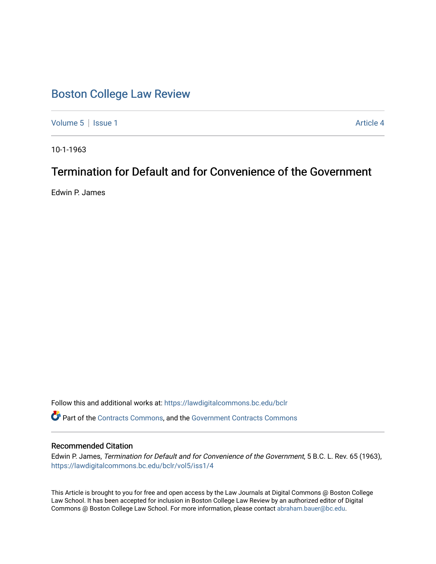# [Boston College Law Review](https://lawdigitalcommons.bc.edu/bclr)

[Volume 5](https://lawdigitalcommons.bc.edu/bclr/vol5) | [Issue 1](https://lawdigitalcommons.bc.edu/bclr/vol5/iss1) Article 4

10-1-1963

# Termination for Default and for Convenience of the Government

Edwin P. James

Follow this and additional works at: [https://lawdigitalcommons.bc.edu/bclr](https://lawdigitalcommons.bc.edu/bclr?utm_source=lawdigitalcommons.bc.edu%2Fbclr%2Fvol5%2Fiss1%2F4&utm_medium=PDF&utm_campaign=PDFCoverPages) 

Part of the [Contracts Commons](http://network.bepress.com/hgg/discipline/591?utm_source=lawdigitalcommons.bc.edu%2Fbclr%2Fvol5%2Fiss1%2F4&utm_medium=PDF&utm_campaign=PDFCoverPages), and the [Government Contracts Commons](http://network.bepress.com/hgg/discipline/845?utm_source=lawdigitalcommons.bc.edu%2Fbclr%2Fvol5%2Fiss1%2F4&utm_medium=PDF&utm_campaign=PDFCoverPages) 

## Recommended Citation

Edwin P. James, Termination for Default and for Convenience of the Government, 5 B.C. L. Rev. 65 (1963), [https://lawdigitalcommons.bc.edu/bclr/vol5/iss1/4](https://lawdigitalcommons.bc.edu/bclr/vol5/iss1/4?utm_source=lawdigitalcommons.bc.edu%2Fbclr%2Fvol5%2Fiss1%2F4&utm_medium=PDF&utm_campaign=PDFCoverPages) 

This Article is brought to you for free and open access by the Law Journals at Digital Commons @ Boston College Law School. It has been accepted for inclusion in Boston College Law Review by an authorized editor of Digital Commons @ Boston College Law School. For more information, please contact [abraham.bauer@bc.edu.](mailto:abraham.bauer@bc.edu)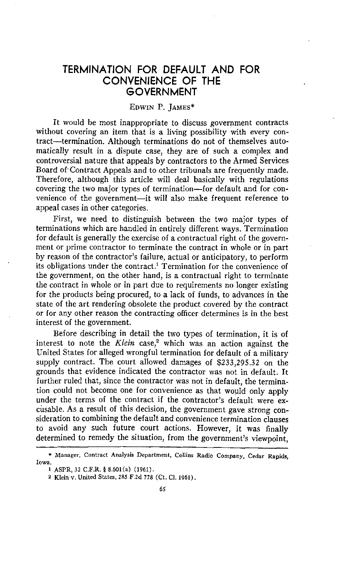## TERMINATION FOR DEFAULT AND FOR CONVENIENCE OF THE **GOVERNMENT**

## EDWIN P. JAMES\*

It would be most inappropriate to discuss government contracts without covering an item that is a living possibility with every contract—termination. Although terminations do not of themselves automatically result in a dispute case, they are of such a complex and controversial nature that appeals by contractors to the Armed Services Board of Contract Appeals and to other tribunals are frequently made. Therefore, although this article will deal basically with regulations covering the two major types of termination—for default and for convenience of the government—it will also make frequent reference to appeal cases in other categories.

First, we need to distinguish between the two major types of terminations which are handled in entirely different ways. Termination for default is generally the exercise of a contractual right of the government or prime contractor to terminate the contract in whole or in part by reason of the contractor's failure, actual or anticipatory, to perform its obligations under the contract.' Termination for the convenience of the government, on the other hand, is a contractual right to terminate the contract in whole or in part due to requirements no longer existing for the products being procured, to a lack of funds, to advances in the state of the art rendering obsolete the product covered by the contract or for any other reason the contracting officer determines is in the best interest of the government.

Before describing in detail the two types of termination, it is of interest to note the *Klein* case,<sup>2</sup> which was an action against the United States for alleged wrongful termination for default of a military supply contract. The court allowed damages of \$233,295.32 on the grounds that evidence indicated the contractor was not in default. It further ruled that, since the contractor was not in default, the termination could not become one for convenience as that would only apply under the terms of the contract if the contractor's default were excusable. As a result of this decision, the government gave strong consideration to combining the default and convenience termination clauses to avoid any such future court actions. However, it was finally determined to remedy the situation, from the government's viewpoint,

<sup>\*</sup> Manager, Contract Analysis Department, Collins Radio Company, Cedar Rapids, Iowa.

I ASPR, 32 C.F.R. 8.601(a) (1961).

<sup>2</sup> Klein v. United States, 285 F.2d 778 (Ct. Cl. 1961).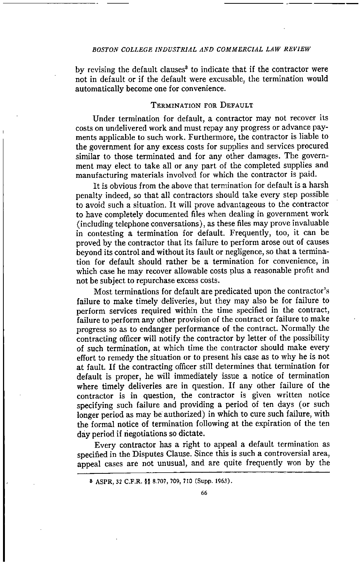by revising the default clauses<sup>8</sup> to indicate that if the contractor were not in default or if the default were excusable, the termination would automatically become one for convenience.

#### TERMINATION FOR DEFAULT

Under termination for default, a contractor may not recover its costs on undelivered work and must repay any progress or advance payments applicable to such work. Furthermore, the contractor is liable to the government for any excess costs for supplies and services procured similar to those terminated and for any other damages. The government may elect to take all or any part of the completed supplies and manufacturing materials involved for which the contractor is paid.

It is obvious from the above that termination for default is a harsh penalty indeed, so that all contractors should take every step possible to avoid such a situation. It will prove advantageous to the contractor to have completely documented files when dealing in government work (including telephone conversations), as these files may prove invaluable in contesting a termination for default. Frequently, too, it can be proved by the contractor that its failure to perform arose out of causes beyond its control and without its fault or negligence, so that a termination for default should rather be a termination for convenience, in which case he may recover allowable costs plus a reasonable profit and not be subject to repurchase excess costs.

Most terminations for default are predicated upon the contractor's failure to make timely deliveries, but they may also be for failure to perform services required within the time specified in the contract, failure to perform any other provision of the contract or failure to make progress so as to endanger performance of the contract. Normally the contracting officer will notify the contractor by letter of the possibility of such termination, at which time the contractor should make every effort to remedy the situation or to present his case as to why he is not at fault. If the contracting officer still determines that termination for default is proper, he will immediately issue a notice of termination where timely deliveries are in question. If any other failure of the contractor is in question, the contractor is given written notice specifying such failure and providing a period of ten days (or such longer period as may be authorized) in which to cure such failure, with the formal notice of termination following at the expiration of the ten day period if negotiations so dictate.

Every contractor has a right to appeal a default termination as specified in the Disputes Clause. Since this is such a controversial area, appeal cases are not unusual, and are quite frequently won by the

<sup>8</sup> ASPR, 32 C.F.R. §§ 8.707, 709, 710 (Supp. 1963).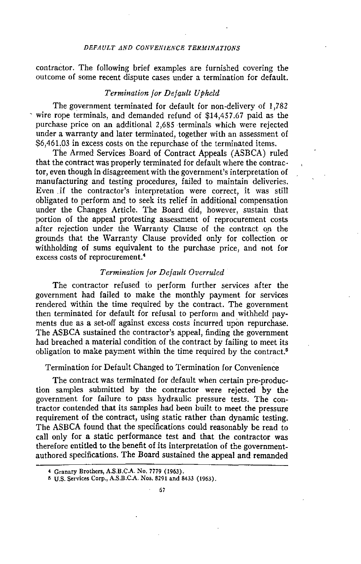## *DEFAULT AND CONVENIENCE TERMINATIONS*

contractor. The following brief examples are furnished covering the outcome of some recent dispute cases under a termination for default.

#### *Termination for Default Upheld*

The government terminated for default for non-delivery of 1,782 wire rope terminals, and demanded refund of \$14,457.67 paid as the purchase price on an additional 2,685 terminals which were rejected under a warranty and later terminated, together with an assessment of \$6,461.03 in excess costs on the repurchase of the terminated items.

The Armed Services Board of Contract Appeals (ASBCA) ruled that the contract was properly terminated for default where the contractor, even though in disagreement with the government's interpretation of manufacturing and testing procedures, failed to maintain deliveries. Even if the contractor's interpretation were correct, it was still obligated to perform and to seek its relief in additional compensation under the Changes Article. The Board did, however, sustain that portion of the appeal protesting assessment of reprocurement costs after rejection under the Warranty Clause of the contract on the grounds that the Warranty Clause provided only for collection or withholding of sums equivalent to the purchase price, and not for excess costs of reprocurement. <sup>4</sup>

## *Termination for Default Overruled*

The contractor refused to perform further services after the government had failed to make the monthly payment for services rendered within the time required by the contract. The government then terminated for default for refusal to perform and withheld payments due as a set-off against excess costs incurred upon repurchase. The ASBCA sustained the contractor's appeal, finding the government had breached a material condition of the contract by failing to meet its obligation to make payment within the time required by the contract.<sup>5</sup>

Termination for Default Changed to Termination for Convenience

The contract was terminated for default when certain pre-production samples submitted by the contractor were rejected by the government for failure to pass hydraulic pressure tests. The contractor contended that its samples had been built to meet the pressure requirement of the contract, using static rather than dynamic testing. The ASBCA found that the specifications could reasonably be read to call only for a static performance test and that the contractor was therefore entitled to the benefit of its interpretation of the governmentauthored specifications. The Board sustained the appeal and remanded

<sup>4</sup> Granary Brothers, A.S.B.CA. No. 7779 (1963).

<sup>5</sup> U.S. Services Corp., A.S.B.C.A. Nos. 8291 and 8433 (1963).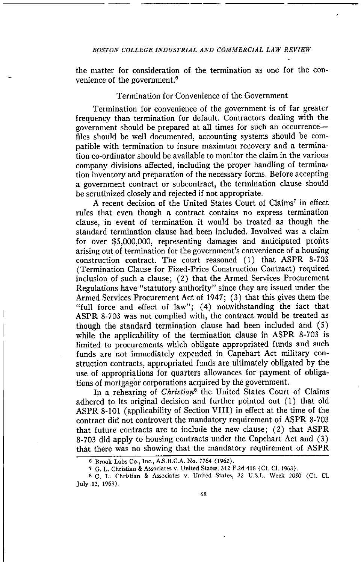the matter for consideration of the termination as one for the convenience of the government. $6$ 

## Termination for Convenience of the Government

Termination for convenience of the government is of far greater frequency than termination for default. Contractors dealing with the government should be prepared at all times for such an occurrence files should be well documented, accounting systems should be compatible with termination to insure maximum recovery and a termination co-ordinator should be available to monitor the claim in the various company divisions affected, including the proper handling of termination inventory and preparation of the necessary forms. Before accepting a government contract or subcontract, the termination clause should be scrutinized closely and rejected if not appropriate.

A recent decision of the United States Court of Claims' in effect rules that even though a contract contains no express termination clause, in event of termination it would be treated as though the standard termination clause had been included. Involved was a claim for over \$5,000,000, representing damages and anticipated profits arising out of termination for the government's convenience of a housing construction contract. The court reasoned (1) that ASPR 8-703 (Termination Clause for Fixed-Price Construction Contract) required inclusion of such a clause; (2) that the Armed Services Procurement Regulations have "statutory authority" since they are issued under the Armed Services Procurement Act of 1947; (3) that this gives them the "full force and effect of law"; (4) notwithstanding the fact that ASPR 8-703 was not complied with, the contract would be treated as though the standard termination clause had been included and (5) while the applicability of the termination clause in ASPR 8-703 is limited to procurements which obligate appropriated funds and such funds are not immediately expended in Capehart Act military construction contracts, appropriated funds are ultimately obligated by the use of appropriations for quarters allowances for payment of obligations of mortgagor corporations acquired by the government.

In a rehearing of *Christians* the United States Court of Claims adhered to its original decision and further pointed out (1) that old ASPR 8-101 (applicability of Section VIII) in effect at the time of the contract did not controvert the mandatory requirement of ASPR 8-703 that future contracts are to include the new clause; (2) that ASPR 8-703 did apply to housing contracts under the Capehart Act and (3) that there was no showing that the mandatory requirement of ASPR

o Brook Labs Co., Inc., A.S.B.C.A. No. 7764 (1962).

<sup>7</sup> G. L. Christian & Associates v. United States, 312 F.2d 418 (Ct. CI. 1963).

<sup>8</sup> G. L. Christian & Associates v. United States, 32 U.S.L. Week 2050 (Ct. CI. July .12, 1963).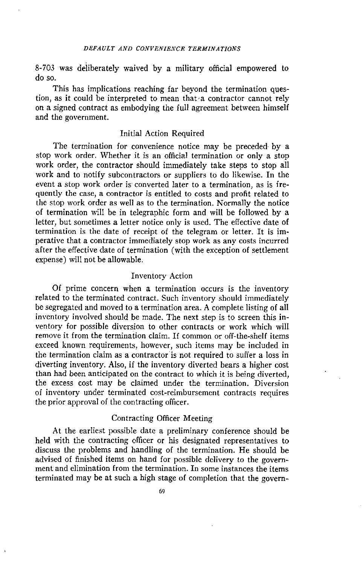8-703 was deliberately waived by a military official empowered to do so.

This has implications reaching far beyond the termination question, as it could be interpreted to mean that a contractor cannot rely on a signed contract as embodying the full agreement between himself and the government.

## Initial Action Required

The termination for convenience notice may be preceded by a stop work order. Whether it is an official termination or only a stop work order, the contractor should immediately take steps to stop all work and to notify subcontractors or suppliers to do likewise. In the event a stop work order is converted later to a termination, as is frequently the case, a contractor is entitled to costs and profit related to the stop work order as well as to the termination. Normally the notice of termination will be in telegraphic form and will be followed by a letter, but sometimes a letter notice only is used. The effective date of termination is the date of receipt of the telegram or letter. It is imperative that a contractor immediately stop work as any costs incurred after the effective date of termination (with the exception of settlement expense) will not be allowable.

## Inventory Action

Of prime concern when a termination occurs is the inventory related to the terminated contract. Such inventory should immediately be segregated and moved to a termination area. A complete listing of all inventory involved should be made. The next step is to screen this inventory for possible diversion to other contracts or work which will remove it from the termination claim. If common or off-the-shelf items exceed known requirements, however, such items may be included in the termination claim as a contractor is not required to suffer a loss in diverting inventory. Also, if the inventory diverted bears a higher cost than had been anticipated on the contract to which it is being diverted, the excess cost may be claimed under the termination. Diversion of inventory under terminated cost-reimbursement contracts requires the prior approval of the contracting officer.

## Contracting Officer Meeting

At the earliest possible date a preliminary conference should be held with the contracting officer or his designated representatives to discuss the problems and handling of the termination. He should be advised of finished items on hand for possible delivery to the government and elimination from the termination. In some instances the items terminated may be at such a high stage of completion that the govern-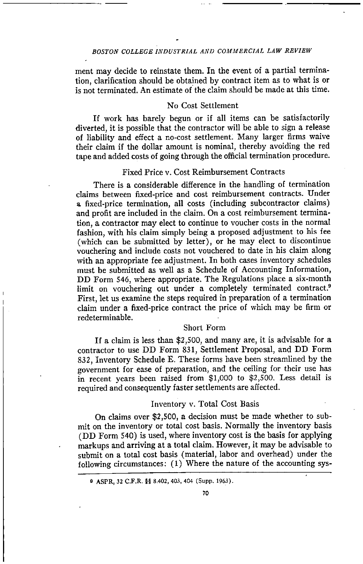ment may decide to reinstate them. In the event of a partial termination, clarification should be obtained by contract item as to what is or is not terminated. An estimate of the claim should be made at this time.

## No Cost Settlement

If work has barely begun or if all items can be satisfactorily diverted, it is possible that the contractor will be able to sign a release of liability and effect a no-cost settlement: Many larger firms waive their claim if the dollar amount is nominal, thereby avoiding the red tape and added costs of going through the official termination procedure.

## Fixed Price v. Cost Reimbursement Contracts

There is a considerable difference in the handling of termination claims between fixed-price and cost reimbursement contracts. Under a fixed-price termination, all costs (including subcontractor claims) and profit are included in the claim. On a cost reimbursement termination, a contractor may elect to continue to voucher costs in the normal fashion, with his claim simply being a proposed adjustment to his fee (which can be submitted by letter), or he may elect to discontinue vouchering and include costs not vouchered to date in his claim along with an appropriate fee adjustment. In both cases inventory schedules must be submitted as well as a Schedule of Accounting Information, DD Form 546, where appropriate. The Regulations place a six-month limit on vouchering out under a completely terminated contract.<sup>9</sup> First, let us examine the steps required in preparation of a termination claim under a fixed-price contract the price of which may be firm or<br>redeterminable.

#### Short Form

If a claim is less than \$2,500, and many are, it is advisable for a contractor to use DD Form 831, Settlement Proposal, and DD Form 832, Inventory Schedule E. These forms have been streamlined by the government for ease of preparation, and the ceiling for their use has in recent years been raised from \$1,000 to \$2,500. Less detail is required and consequently faster settlements are affected.

#### Inventory v. Total Cost Basis

On claims over \$2,500, a decision must be made whether to submit on the inventory or total cost basis. Normally the inventory basis (DD Form 540) is used, where inventory cost is the basis for applying markups and arriving at a total claim. However, it may be advisable to submit on a total cost basis (material, labor and overhead) under the following circumstances: (1) Where the nature of the accounting sys-

**<sup>9</sup>** ASPR, 32 C.F.R. §§ 8.402, 403, 404 (Supp. 1963).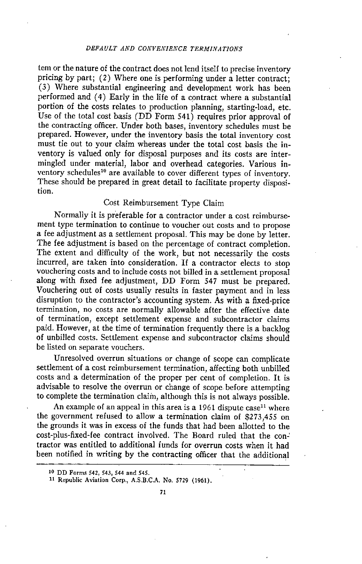tern or the nature of the contract does not lend itself to precise inventory pricing by part; (2) Where one is performing under a letter contract; (3) Where substantial engineering and development work has been performed and (4) Early in the life of a contract where a substantial portion of the costs relates to production planning, starting-load, etc. Use of the total cost basis (DD Form 541) requires prior approval of the contracting officer. Under both bases, inventory schedules must be prepared. However, under the inventory basis the total inventory cost must tie out to your claim whereas under the total cost basis the inventory is valued only for disposal purposes and its costs are intermingled under material, labor and overhead categories. Various inventory schedules<sup>10</sup> are available to cover different types of inventory. These should be prepared in great detail to facilitate property disposition.

## Cost Reimbursement Type Claim

Normally it is preferable for a contractor under a cost reimbursement type termination to continue to voucher out costs and to propose a fee adjustment as a settlement proposal. This may be done by letter. The fee adjustment is based on the percentage of contract completion. The extent and difficulty of the work, but not necessarily the costs incurred, are taken into consideration. If a contractor elects to stop vouchering costs and to include costs not billed in a settlement proposal along with fixed fee adjustment, DD Form 547 must be prepared. Vouchering out of costs usually results in faster payment and in less disruption to the contractor's accounting system. As with a fixed-price termination, no costs are normally allowable after the effective date of termination, except settlement expense and subcontractor claims paid. However, at the time of termination frequently there is a backlog of unbilled costs. Settlement expense and subcontractor claims should be listed on separate vouchers.

Unresolved overrun situations or change of scope can complicate settlement of a cost reimbursement termination, affecting both unbilled costs and a determination of the proper per cent of completion. It is advisable to resolve the overrun or change of scope before attempting to complete the termination claim, although this is not always possible.

An example of an appeal in this area is a 1961 dispute  $case<sup>11</sup>$  where the government refused to allow a termination claim of \$273,455 on the grounds it was in excess of the funds that had been allotted to the cost-plus-fixed-fee contract involved. The Board ruled that the contractor was entitled to additional funds for overrun costs when it had been notified in writing by the contracting officer that the additional

<sup>10</sup> DI/ Forms 542, 543, 544 and 545.

<sup>11</sup> Republic Aviation Corp., A.S.B.C.A. No. 5729 (1961).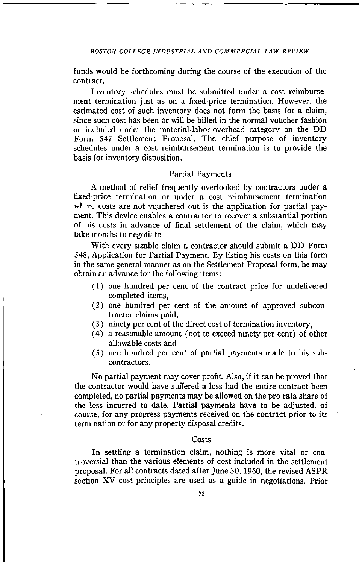funds would be forthcoming during the course of the execution of the contract.

Inventory schedules must be submitted under a cost reimbursement termination just as on a fixed-price termination. However, the estimated cost of such inventory does not form the basis for a claim, since such cost has been or will be billed in the normal voucher fashion or included under the material-labor-overhead category on the DD Form 547 Settlement Proposal. The chief purpose of inventory schedules under a cost reimbursement termination is to provide the basis for inventory disposition.

## Partial Payments

A method of relief frequently overlooked by contractors under a fixed-price termination or under a cost reimbursement termination where costs are not vouchered out is the application for partial payment. This device enables a contractor to recover a substantial portion of his costs in advance of final settlement of the claim, which may take months to negotiate.

With every sizable claim a contractor should submit a DD Form 548, Application for Partial Payment. By listing his costs on this form in the same general manner as on the Settlement Proposal form, he may obtain an advance for the following items:

- (1) one hundred per cent of the contract price for undelivered completed items,
- (2) one hundred per cent of the amount of approved subcontractor claims paid,
- (3) ninety per cent of the direct cost of termination inventory,
- (4) a reasonable amount (not to exceed ninety per cent) of other allowable costs and
- (5) one hundred per cent of partial payments made to his subcontractors.

No partial payment may cover profit. Also, if it can be proved that the contractor would have suffered a loss had the entire contract been completed, no partial payments may be allowed on the pro rata share of the loss incurred to date. Partial payments have to be adjusted, of course, for any progress payments received on the contract prior to its termination or for any property disposal credits.

#### **Costs**

In settling a termination claim, nothing is more vital or controversial than the various elements of cost included in the settlement proposal. For all contracts dated after June 30, 1960, the revised ASPR section XV cost principles are used as a guide in negotiations. Prior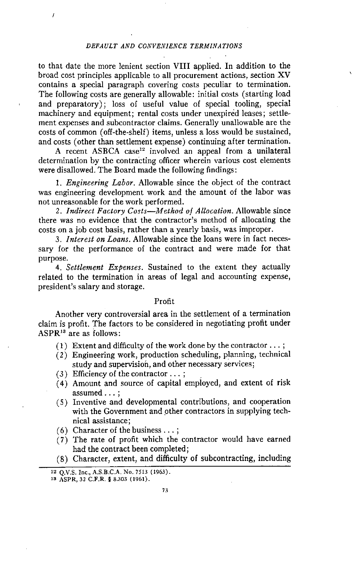#### *DEFAULT AND CONVENIENCE TERMINATIONS*

to that date the more lenient section VIII applied. In addition to the broad cost principles applicable to all procurement actions, section XV contains a special paragraph covering costs peculiar to termination. The following costs are generally allowable: initial costs (starting load and preparatory); loss of useful value of special tooling, special machinery and equipment; rental costs under unexpired leases; settlement expenses and subcontractor claims. Generally unallowable are the costs of common (off-the-shelf) items, unless a loss would be sustained, and costs (other than settlement expense) continuing after termination.

A recent ASBCA case<sup>12</sup> involved an appeal from a unilateral determination by the contracting officer wherein various cost elements were disallowed. The Board made the following findings:

*1. Engineering Labor* Allowable since the object of the contract was engineering development work and the amount of the labor was not unreasonable for the work performed.

*2. Indirect Factory Costs—Method of Allocation.* Allowable since there was no evidence that the contractor's method of allocating the costs on a job cost basis, rather than a yearly basis, was improper.

*3. Interest on Loans.* Allowable since the loans were in fact necessary for the performance of the contract and were made for that purpose.

*4. Settlement Expenses.* Sustained to the extent they actually related to the termination in areas of legal and accounting expense, president's salary and storage.

#### Profit

Another very controversial area in the settlement of a termination claim is profit. The factors to be considered in negotiating profit under  $ASPR<sup>13</sup>$  are as follows:

- (1) Extent and difficulty of the work done by the contractor  $\dots$ ;
- Engineering work, production scheduling, planning, technical study and supervision, and other necessary services;
- $(3)$  Efficiency of the contractor  $\dots$ ;
- Amount and source of capital employed, and extent of risk assumed ...
- (5) Inventive and developmental contributions, and cooperation with the Government and other contractors in supplying technical assistance;
- (6) Character of the business ...
- (7) The rate of profit which the contractor would have earned had the contract been completed;

(8) Character, extent, and difficulty of subcontracting, including

<sup>12</sup> Q.V.S. Inc., A.S.B.C.A. No. 7513 (1963).

is ASPR, 32 C.F.R. 8.303 (1961).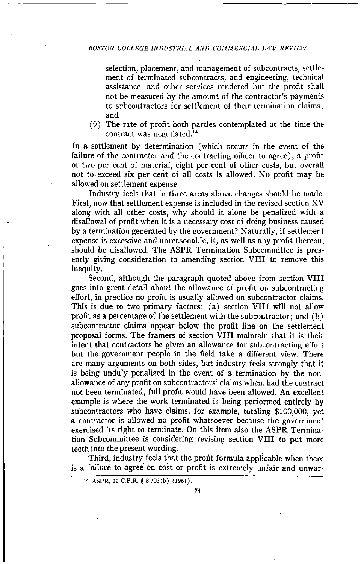selection, placement, and management of subcontracts, settlement of terminated subcontracts, and engineering, technical assistance, and other services rendered but the profit shall not be measured by the amount of the contractor's payments to subcontractors for settlement of their termination claims; and

(9) The rate of profit both parties contemplated at the time the contract was negotiated.'

In a settlement by determination (which occurs in the event of the failure of the contractor and the contracting officer to agree), a profit of two per cent of material, eight per cent of other costs, but overall not to exceed six per cent of all costs is allowed. No profit may be allowed on settlement expense.

Industry feels that in three areas above changes should be made. First, now that settlement expense is included in the revised section XV along with all other costs, why should it alone be penalized with a disallowal of profit when it is a necessary cost of doing business caused by a termination generated by the government? Naturally, if settlement expense is excessive and unreasonable, it, as well as any profit thereon, should be disallowed. The ASPR Termination Subcommittee is presently giving consideration to amending section VIII to remove this inequity.

Second, although the paragraph quoted above from section VIII goes into great detail about the allowance of profit on subcontracting effort, in practice no profit is usually allowed on subcontractor claims. This is due to two primary factors: (a) section VIII will not allow profit as a percentage of the settlement with the subcontractor; and (b) subcontractor claims appear below the profit line on the settlement proposal forms. The framers of section VIII maintain that it is their intent that contractors be given an allowance for subcontracting effort but the government people in the field take a different view. There are many arguments on both sides, but industry feels strongly that it is being unduly penalized in the event of a termination by the nonallowance of any profit on subcontractors' claims when, had the contract not been terminated, full profit would have been allowed. An excellent example is where the work terminated is being performed entirely by subcontractors who have claims, for example, totaling \$100,000, yet a contractor is allowed no profit whatsoever because the government exercised its right to terminate. On this item also the ASPR Termination Subcommittee is considering revising section VIII to put more teeth into the present wording.

Third, industry feels that the profit formula applicable when there is a failure to agree on cost or profit is extremely unfair and unwar-

<sup>14</sup> ASPR, 32 C.F.R. § 8.303(b) (1961).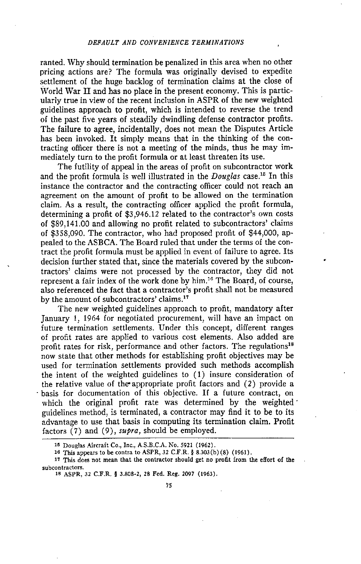ranted. Why should termination be penalized in this area when no other pricing actions are? The formula was originally devised to expedite settlement of the huge backlog of termination claims at the close of World War II and has no place in the present economy. This is particularly true in view of the recent inclusion in ASPR of the new weighted guidelines approach to profit, which is intended to reverse the trend of the past five years of steadily dwindling defense contractor profits. The failure to agree, incidentally, does not mean the Disputes Article has been invoked. It simply means that in the thinking of the contracting officer there is not a meeting of the minds, thus he may immediately turn to the profit formula or at least threaten its use.

The futility of appeal in the areas of profit on subcontractor work and the profit formula is well illustrated in the *Douglas* case.<sup>15</sup> In this instance the contractor and the contracting officer could not reach an agreement on the amount of profit to be allowed on the termination claim. As a result, the contracting officer applied the profit formula, determining a profit of \$3,946.12 related to the contractor's own costs of \$89,141.00 and allowing no profit related to subcontractors' claims of \$358,090. The contractor, who had proposed profit of \$44,000, appealed to the ASBCA. The Board ruled that under the terms of the contract the profit formula must be applied in event of failure to agree. Its decision further stated that, since the materials covered by the subcontractors' claims were not processed by the contractor, they did not represent a fair index of the work done by him.<sup>16</sup> The Board, of course, also referenced the fact that a contractor's profit shall not be measured by the amount of subcontractors' claims.<sup>17</sup>

The new weighted guidelines approach to profit, mandatory after January 1, 1964 for negotiated procurement, will have an impact on future termination settlements. Under this concept, different ranges of profit rates are applied to various cost elements. Also added are profit rates for risk, performance and other factors. The regulations<sup>18</sup> now state that other methods for establishing profit objectives may be used for termination settlements provided such methods accomplish the intent of the weighted guidelines to (1) insure consideration of the relative value of the appropriate profit factors and (2) provide a basis for documentation of this objective. If a future contract, on which the original profit rate was determined by the weighted guidelines method, is terminated, a contractor may find it to be to its advantage to use that basis in computing its termination claim. Profit factors (7) and (9), *supra,* should be employed.

<sup>15</sup> Douglas Aircraft Co., Inc., A.S.B.C.A. No. 5921 (1962).

<sup>16</sup> This appears to be contra to ASPR, 32 C.F.R. 4 8.303(b) (8) (1961).

<sup>17</sup> This does not mean that the contractor should get no profit from the effort of the subcontractors.

<sup>18</sup> ASPR, 32 C.F.R. 4 3.808-2, 28 Fed. Reg. 2097 (1963).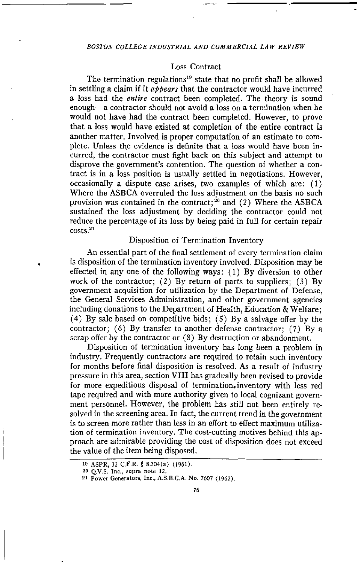## Loss Contract

The termination regulations<sup>19</sup> state that no profit shall be allowed in settling a claim if it *appears* that the contractor would have incurred a loss had the *entire* contract been completed. The theory is sound enough—a contractor should not avoid a loss on a termination when he would not have had the contract been completed. However, to prove that a loss would have existed at completion of the entire contract is another matter. Involved is proper computation of an estimate to complete. Unless the evidence is definite that a loss would have been incurred, the contractor must fight back on this subject and attempt to disprove the government's contention. The question of whether a contract is in a loss position is usually settled in negotiations. However, occasionally a dispute case arises, two examples of which are: (1) Where the ASBCA overruled the loss adjustment on the basis no such provision was contained in the contract;<sup>20</sup> and  $(2)$  Where the ASBCA sustained the loss adjustment by deciding the contractor could not reduce the percentage of its loss by being paid in full for certain repair costs<sup>21</sup>

## Disposition of Termination Inventory

An essential part of the final settlement of every termination claim is disposition of the termination inventory involved. Disposition may be effected in any one of the following ways: (1) By diversion to other work of the contractor; (2) By return of parts to suppliers; (3) By government acquisition for utilization by the Department of Defense, the General Services Administration, and other government agencies including donations to the Department of Health, Education *&* Welfare; (4) By sale based on competitive bids; (5) By a salvage offer by the contractor; (6) By transfer to another defense contractor; (7) By a scrap offer by the contractor or (8) By destruction or abandonment.

Disposition of termination inventory has long been a problem in industry. Frequently contractors are required to retain such inventory for months before final disposition is resolved. As a result of industry pressure in this area, section VIII has gradually been revised to provide for more expeditious disposal of termination. inventory with less red tape required and with more authority given to local cognizant government personnel. However, the problem has still not been entirely resolved in the screening area. In fact, the current trend in the government is to screen more rather than less in an effort to effect maximum utilization of termination inventory. The cost-cutting motives behind this approach are admirable providing the cost of disposition does not exceed the value of the item being disposed.

<sup>19</sup> ASPR, 32 C.P.R. § 8.304(a) (1961).

<sup>20</sup> Q.V.S. Inc., supra note 12.

<sup>21</sup> Power Generators, Inc., A.S.B.C.A. No. 7607 (1962).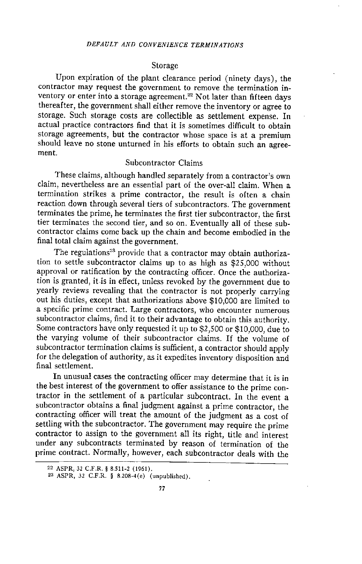#### Storage

Upon expiration of the plant clearance period (ninety days), the contractor may request the government to remove the termination inventory or enter into a storage agreement.<sup>22</sup> Not later than fifteen days thereafter, the government shall either remove the inventory or agree to storage. Such storage costs are collectible as settlement expense. In actual practice contractors find that it is sometimes difficult to obtain storage agreements, but the contractor whose space is at a premium should leave no stone unturned in his efforts to obtain such an agreement.

## Subcontractor Claims

These claims, although handled separately from a contractor's own claim, nevertheless are an essential part of the over-all claim. When a termination strikes a prime contractor, the result is often a chain reaction down through several tiers of subcontractors. The government terminates the prime, he terminates the first tier subcontractor, the first tier terminates the second tier, and so on. Eventually all of these subcontractor claims come back up the chain and become embodied in the final total claim against the government.

The regulations<sup>28</sup> provide that a contractor may obtain authorization to settle subcontractor claims up to as high as \$25,000 without approval or ratification by the contracting officer. Once the authorization is granted, it is in effect, unless revoked by the government due to yearly reviews revealing that the contractor is not properly carrying out his duties, except that authorizations above \$10,000 are limited to a specific prime contract. Large contractors, who encounter numerous subcontractor claims, find it to their advantage to obtain this authority. Some contractors have only requested it up to \$2,500 or \$10,000, due to the varying volume of their subcontractor claims. If the volume of subcontractor termination claims is sufficient, a contractor should apply for the delegation of authority, as it expedites inventory disposition and final settlement.

In unusual cases the contracting officer may determine that it is in the best interest of the government to offer assistance to the prime contractor in the settlement of a particular subcontract. In the event a subcontractor obtains a final judgment against a prime contractor, the contracting officer will treat the amount of the judgment as a cost of settling with the subcontractor. The government may require the prime contractor to assign to the government all its right, title and interest under any subcontracts terminated by reason of termination of the prime contract. Normally, however, each subcontractor deals with the

<sup>22</sup>ASPR, 32 C.F.R. 8.511-2 (1961).

<sup>23</sup> ASPR, 32 C.F.R. § 8.208-4(e) (unpublished).